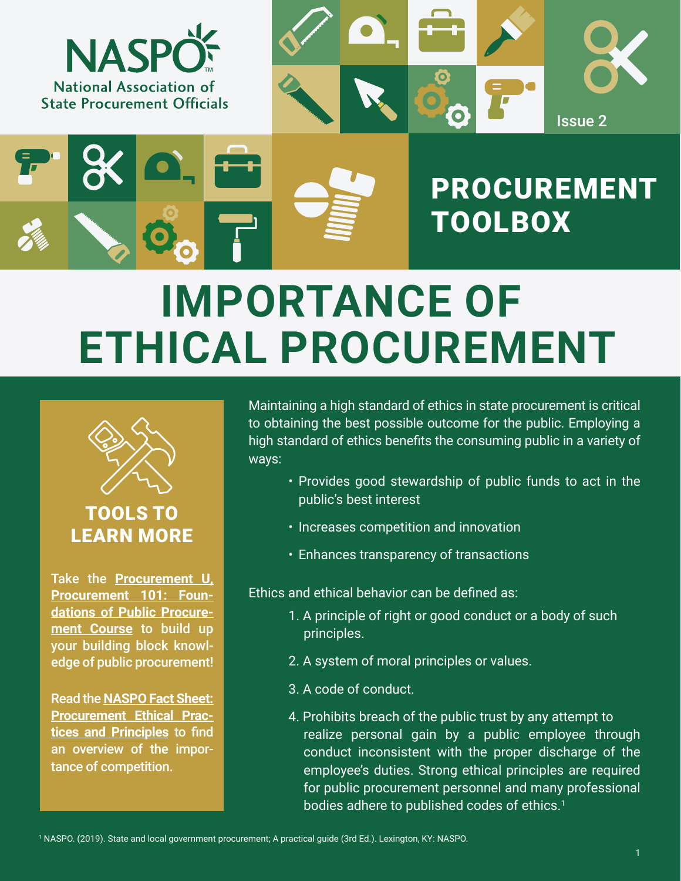

# **IMPORTANCE OF ETHICAL PROCUREMENT**



### TOOLS TO LEARN MORE

Take the **[Procurement U,](https://procurementu.myabsorb.com/#/online-courses/cf93e033-fc54-49cd-bd68-f44517360efc)  [Procurement 101: Foun](https://procurementu.myabsorb.com/#/online-courses/cf93e033-fc54-49cd-bd68-f44517360efc)[dations of Public Procure](https://procurementu.myabsorb.com/#/online-courses/cf93e033-fc54-49cd-bd68-f44517360efc)[ment Course](https://procurementu.myabsorb.com/#/online-courses/cf93e033-fc54-49cd-bd68-f44517360efc)** to build up your building block knowledge of public procurement!

Read the **[NASPO Fact Sheet:](https://www.naspo.org/dnn/Portals/16/NASPO_Fact%20Sheet%20Procurement%20Ethics_final.pdf) [Procurement Ethical Prac](https://www.naspo.org/dnn/Portals/16/NASPO_Fact%20Sheet%20Procurement%20Ethics_final.pdf)[tices and Principles](https://www.naspo.org/dnn/Portals/16/NASPO_Fact%20Sheet%20Procurement%20Ethics_final.pdf)** to find an overview of the importance of competition.

Maintaining a high standard of ethics in state procurement is critical to obtaining the best possible outcome for the public. Employing a high standard of ethics benefits the consuming public in a variety of ways:

- Provides good stewardship of public funds to act in the public's best interest
- Increases competition and innovation
- Enhances transparency of transactions

Ethics and ethical behavior can be defined as:

- 1. A principle of right or good conduct or a body of such principles.
- 2. A system of moral principles or values.
- 3. A code of conduct.
- 4. Prohibits breach of the public trust by any attempt to realize personal gain by a public employee through conduct inconsistent with the proper discharge of the employee's duties. Strong ethical principles are required for public procurement personnel and many professional bodies adhere to published codes of ethics.<sup>1</sup>

1 NASPO. (2019). State and local government procurement; A practical guide (3rd Ed.). Lexington, KY: NASPO.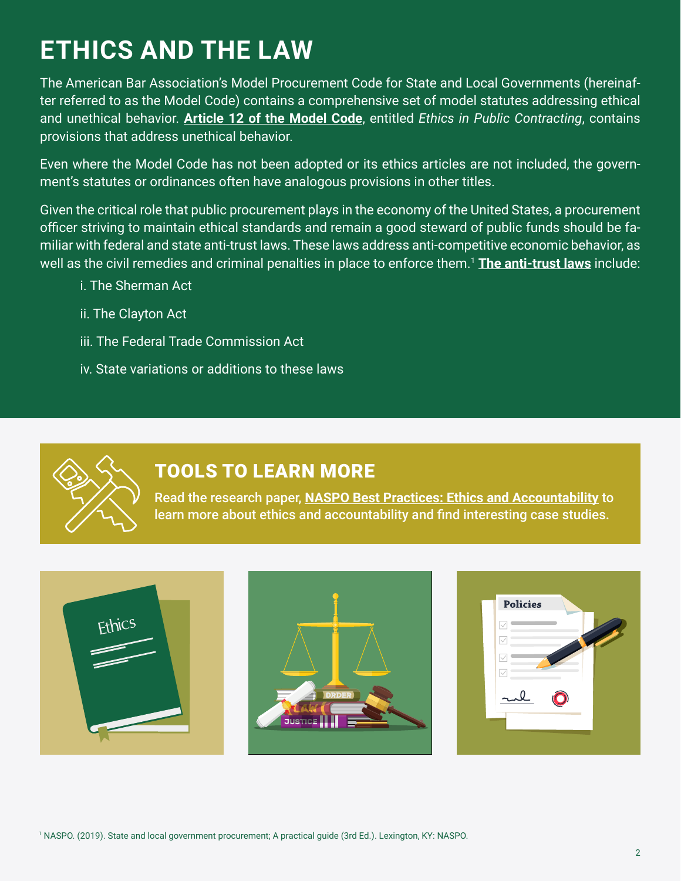# **ETHICS AND THE LAW**

The American Bar Association's Model Procurement Code for State and Local Governments (hereinafter referred to as the Model Code) contains a comprehensive set of model statutes addressing ethical and unethical behavior. **[Article 12 of the Model Code](https://www.americanbar.org/content/dam/aba/administrative/public_contract_law/pcl-model-05-1979-model-procurement-code.pdf)**, entitled *Ethics in Public Contracting*, contains provisions that address unethical behavior.

Even where the Model Code has not been adopted or its ethics articles are not included, the government's statutes or ordinances often have analogous provisions in other titles.

Given the critical role that public procurement plays in the economy of the United States, a procurement officer striving to maintain ethical standards and remain a good steward of public funds should be familiar with federal and state anti-trust laws. These laws address anti-competitive economic behavior, as well as the civil remedies and criminal penalties in place to enforce them.1 **[The anti-trust laws](mailto:https://www.ftc.gov/tips-advice/competition-guidance/guide-antitrust-laws/antitrust-laws?subject=)** include:

- i. The Sherman Act
- ii. The Clayton Act
- iii. The Federal Trade Commission Act
- iv. State variations or additions to these laws



### TOOLS TO LEARN MORE

Read the research paper, **[NASPO Best Practices: Ethics and Accountability](https://www.naspo.org/Publications/ArtMID/8806/ArticleID/4654)** to learn more about ethics and accountability and find interesting case studies.





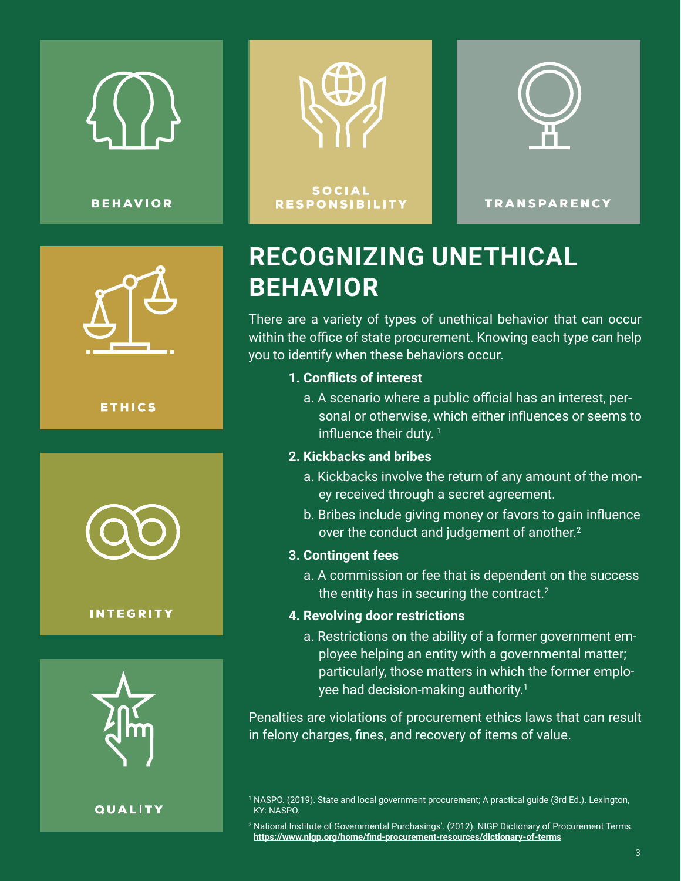

**BEHAVIOR** 



**ETHICS** 



#### **INTEGRITY**



**QUALITY** 







**RESPONSIBILITY** 

**TRANSPARENCY** 

## **RECOGNIZING UNETHICAL BEHAVIOR**

There are a variety of types of unethical behavior that can occur within the office of state procurement. Knowing each type can help you to identify when these behaviors occur.

#### **1. Conflicts of interest**

a. A scenario where a public official has an interest, personal or otherwise, which either influences or seems to influence their duty.<sup>1</sup>

#### **2. Kickbacks and bribes**

- a. Kickbacks involve the return of any amount of the money received through a secret agreement.
- b. Bribes include giving money or favors to gain influence over the conduct and judgement of another.<sup>2</sup>

#### **3. Contingent fees**

a. A commission or fee that is dependent on the success the entity has in securing the contract.<sup>2</sup>

#### **4. Revolving door restrictions**

a. Restrictions on the ability of a former government employee helping an entity with a governmental matter; particularly, those matters in which the former employee had decision-making authority.<sup>1</sup>

Penalties are violations of procurement ethics laws that can result in felony charges, fines, and recovery of items of value.

<sup>1</sup> NASPO. (2019). State and local government procurement; A practical guide (3rd Ed.). Lexington, KY: NASPO.

 $^2$  National Institute of Governmental Purchasings'. (2012). NIGP Dictionary of Procurement Terms. **<https://www.nigp.org/home/find-procurement-resources/dictionary-of-terms>**